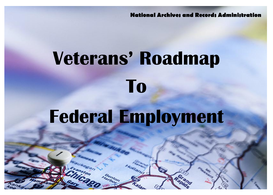**National Archives and Records Administration**

# **Veterans' Roadmap To Federal Employment**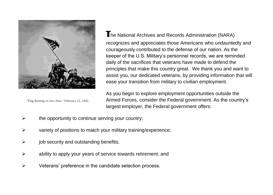

"Flag Raising on Iwo Jima." February 23, 1945.

**T**he National Archives and Records Administration (NARA) recognizes and appreciates those Americans who undauntedly and courageously contributed to the defense of our nation. As the keeper of the U.S. Military's personnel records, we are reminded daily of the sacrifices that veterans have made to defend the principles that make this country great. We thank you and want to assist you, our dedicated veterans, by providing information that will ease your transition from military to civilian employment.

As you begin to explore employment opportunities outside the Armed Forces, consider the Federal government. As the country's largest employer, the Federal government offers:

- $\triangleright$  the opportunity to continue serving your country;
- $\triangleright$  variety of positions to match your military training/experience;
- $\triangleright$  job security and outstanding benefits;
- $\triangleright$  ability to apply your years of service towards retirement; and
- $\triangleright$  Veterans' preference in the candidate selection process.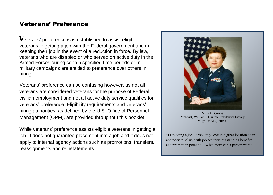#### Veterans' Preference

**V**eterans' preference was established to assist eligible veterans in getting a job with the Federal government and in keeping their job in the event of a reduction in force. By law, veterans who are disabled or who served on active duty in the Armed Forces during certain specified time periods or in military campaigns are entitled to preference over others in hiring.

Veterans' preference can be confusing however, as not all veterans are considered veterans for the purpose of Federal civilian employment and not all active duty service qualifies for veterans' preference. Eligibility requirements and veterans' hiring authorities, as defined by the U.S. Office of Personnel Management (OPM), are provided throughout this booklet.

While veterans' preference assists eligible veterans in getting a job, it does not guarantee placement into a job and it does not apply to internal agency actions such as promotions, transfers, reassignments and reinstatements.



Ms. Kim Coryat Archivist, William J. Clinton Presidential Library MSgt, USAF (Retired)

"I am doing a job I absolutely love in a great location at an appropriate salary with job security, outstanding benefits and promotion potential. What more can a person want?"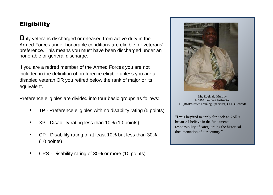### **Eligibility**

**O**nly veterans discharged or released from active duty in the Armed Forces under honorable conditions are eligible for veterans' preference. This means you must have been discharged under an honorable or general discharge.

If you are a retired member of the Armed Forces you are not included in the definition of preference eligible unless you are a disabled veteran OR you retired below the rank of major or its equivalent.

Preference eligibles are divided into four basic groups as follows:

- TP Preference eligibles with no disability rating (5 points)
- XP Disability rating less than 10% (10 points)
- CP Disability rating of at least 10% but less than 30% (10 points)
- CPS Disability rating of 30% or more (10 points)



Mr. Reginald Murphy NARA Training Instructor IT (RM)/Master Training Specialist, USN (Retired)

"I was inspired to apply for a job at NARA because I believe in the fundamental responsibility of safeguarding the historical documentation of our country."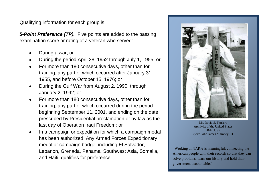Qualifying information for each group is:

*5-Point Preference (TP).* Five points are added to the passing examination score or rating of a veteran who served:

- During a war; or
- During the period April 28, 1952 through July 1, 1955; or  $\bullet$
- For more than 180 consecutive days, other than for training, any part of which occurred after January 31, 1955, and before October 15, 1976; or
- During the Gulf War from August 2, 1990, through January 2, 1992; or
- For more than 180 consecutive days, other than for training, any part of which occurred during the period beginning September 11, 2001, and ending on the date prescribed by Presidential proclamation or by law as the last day of Operation Iraqi Freedom; or
- In a campaign or expedition for which a campaign medal has been authorized. Any Armed Forces Expeditionary medal or campaign badge, including El Salvador, Lebanon, Grenada, Panama, Southwest Asia, Somalia, and Haiti, qualifies for preference.



Mr. David S. Ferriero Archivist of the United States HM2, USN (with John James MaroneyIII)

"Working at NARA is meaningful: connecting the American people with their records so that they can solve problems, learn our history and hold their government accountable."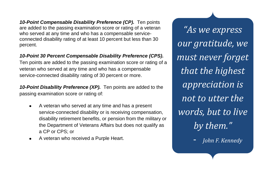*10-Point Compensable Disability Preference (CP).* Ten points are added to the passing examination score or rating of a veteran who served at any time and who has a compensable serviceconnected disability rating of at least 10 percent but less than 30 percent.

#### *10-Point 30 Percent Compensable Disability Preference (CPS).*

Ten points are added to the passing examination score or rating of a veteran who served at any time and who has a compensable service-connected disability rating of 30 percent or more.

*10-Point Disability Preference (XP).* Ten points are added to the passing examination score or rating of:

- A veteran who served at any time and has a present ٠ service-connected disability or is receiving compensation, disability retirement benefits, or pension from the military or the Department of Veterans Affairs but does not qualify as a CP or CPS; or
- A veteran who received a Purple Heart.

*"As we express our gratitude, we must never forget that the highest appreciation is not to utter the words, but to live by them."*

- *John F. Kennedy*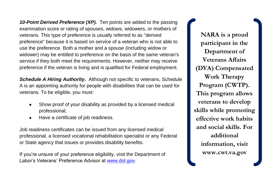*10-Point Derived Preference (XP).* Ten points are added to the passing examination score or rating of spouses, widows, widowers, or mothers of veterans. This type of preference is usually referred to as "derived preference" because it is based on service of a veteran who is not able to use the preference. Both a mother and a spouse (including widow or widower) may be entitled to preference on the basis of the same veteran's service if they both meet the requirements. However, neither may receive preference if the veteran is living and is qualified for Federal employment.

*Schedule A Hiring Authority.* Although not specific to veterans, Schedule A is an appointing authority for people with disabilities that can be used for veterans. To be eligible, you must:

- Show proof of your disability as provided by a licensed medical professional;
- Have a certificate of job readiness.  $\bullet$

Job readiness certificates can be issued from any licensed medical professional, a licensed vocational rehabilitation specialist or any Federal or State agency that issues or provides disability benefits.

If you're unsure of your preference eligibility, visit the Department of Labor's Veterans' Preference Advisor at [www.dol.gov.](http://www.dol.gov/)

**NARA is a proud participant in the Department of Veterans Affairs (DVA) Compensated Work Therapy Program (CWTP). This program allows veterans to develop skills while promoting effective work habits and social skills. For additional information, visit www.cwt.va.gov**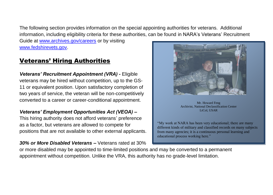The following section provides information on the special appointing authorities for veterans. Additional information, including eligibility criteria for these authorities, can be found in NARA's Veterans' Recruitment

Guide a[t www.archives.gov/careers](http://www.archives.gov/careers) or by visiting [www.fedshirevets.gov.](http://www.fedshirevets.gov/)

### Veterans' Hiring Authorities

*Veterans' Recruitment Appointment (VRA) -* Eligible veterans may be hired without competition, up to the GS-11 or equivalent position. Upon satisfactory completion of two years of service, the veteran will be non-competitively converted to a career or career-conditional appointment.

#### *Veterans' Employment Opportunities Act (VEOA) –*

This hiring authority does not afford veterans' preference as a factor, but veterans are allowed to compete for positions that are not available to other external applicants.

*30% or More Disabled Veterans –* Veterans rated at 30%

Mr. Howard Feng Archivist, National Declassification Center LtCol, USAR

"My work at NARA has been very educational; there are many different kinds of military and classified records on many subjects from many agencies; it is a continuous personal learning and educational process working here."

or more disabled may be appointed to time-limited positions and may be converted to a permanent appointment without competition. Unlike the VRA, this authority has no grade-level limitation.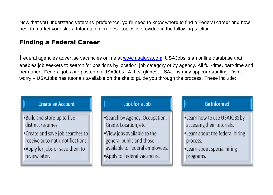Now that you understand veterans' preference, you'll need to know where to find a Federal career and how best to market your skills. Information on these topics is provided in the following section.

#### **Finding a Federal Career**

Federal agencies advertise vacancies online at **www.usajobs.com**. USAJobs is an online database that enables job seekers to search for positions by location, job category or by agency. All full-time, part-time and permanent Federal jobs are posted on USAJobs. At first glance, USAJobs may appear daunting. Don't worry - USAJobs has tutorials available on the site to guide you through the process. These include:

#### **Create an Account**

- •Build and store up to five distinct resumes.
- •Create and save job searches to receive automatic notifications.
- •Apply for jobs or save them to review later.

#### Look for a Job

- •Search by Agency, Occupation, Grade, Location, etc.
- •View jobs available to the general public and those available to Federal employees.
- Apply to Federal vacancies.

#### **Be Informed**

- •Learn how to use USAJOBS by accessing their tutorials.
- . Learn about the federal hiring process.
- •Learn about special hiring programs.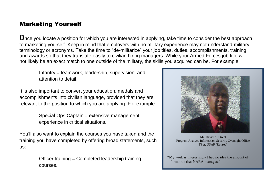### Marketing Yourself

**O**nce you locate a position for which you are interested in applying, take time to consider the best approach to marketing yourself. Keep in mind that employers with no military experience may not understand military terminology or acronyms. Take the time to "de-militarize" your job titles, duties, accomplishments, training and awards so that they translate easily to civilian hiring managers. While your Armed Forces job title will not likely be an exact match to one outside of the military, the skills you acquired can be. For example:

Infantry = teamwork, leadership, supervision, and attention to detail.

It is also important to convert your education, medals and accomplishments into civilian language, provided that they are relevant to the position to which you are applying. For example:

> Special Ops Captain = extensive management experience in critical situations.

You'll also want to explain the courses you have taken and the training you have completed by offering broad statements, such as:

> Officer training = Completed leadership training courses.



Mr. David A. Streat Program Analyst, Information Security Oversight Office TSgt, USAF (Retired)

"My work is interesting - I had no idea the amount of information that NARA manages."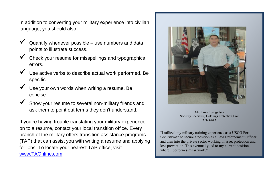In addition to converting your military experience into civilian language, you should also:

- Quantify whenever possible use numbers and data points to illustrate success.
- Check your resume for misspellings and typographical errors.
- Use active verbs to describe actual work performed. Be specific.
- Use your own words when writing a resume. Be concise.
- Show your resume to several non-military friends and ask them to point out terms they don't understand.

If you're having trouble translating your military experience on to a resume, contact your local transition office. Every branch of the military offers transition assistance programs (TAP) that can assist you with writing a resume and applying for jobs. To locate your nearest TAP office, visit [www.TAOnline.com.](http://www.taonline.com/)



Mr. Larry Evangelista Security Specialist, Holdings Protection Unit PO1, USCG

"I utilized my military training experience as a USCG Port Securityman to secure a position as a Law Enforcement Officer and then into the private sector working in asset protection and loss prevention. This eventually led to my current position where I perform similar work."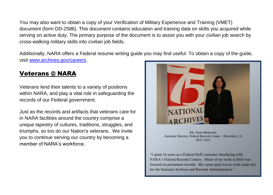You may also want to obtain a copy of your Verification of Military Experience and Training (VMET) document (form DD-2586). This document contains education and training data on skills you acquired while serving on active duty. The primary purpose of the document is to assist you with your civilian job search by cross-walking military skills into civilian job fields.

Additionally, NARA offers a Federal resume writing guide you may find useful. To obtain a copy of the guide, visit [www.archives.gov/careers.](http://www.archives.gov/careers)

#### Veterans @ NARA

Veterans lend their talents to a variety of positions within NARA, and play a vital role in safeguarding the records of our Federal government.

Just as the records and artifacts that veterans care for in NARA facilities around the country comprise a unique tapestry of cultures, traditions, struggles, and triumphs, so too do our Nation's veterans. We invite you to continue serving our country by becoming a member of NARA's workforce.



Ms. Susie Bielawski Assistant Director, Federal Records Center – Riverside, CA SGT, USA

"I spent 16 years as a Federal DoD customer interfacing with NARA's Federal Records Centers. Much of my work at DoD was focused on permanent records. My career goal was to work some day for the National Archives and Records Administration."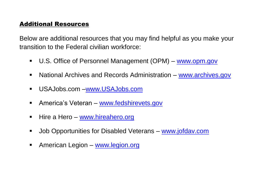#### Additional Resources

Below are additional resources that you may find helpful as you make your transition to the Federal civilian workforce:

- U.S. Office of Personnel Management (OPM) [www.opm.gov](http://www.opm.gov/)
- National Archives and Records Administration [www.archives.gov](http://www.archives.gov/)
- USAJobs.com [–www.USAJobs.com](http://www.usajobs.com/)
- **America's Veteran [www.fedshirevets.gov](http://www.fedshirevets.gov/)**
- Hire a Hero [www.hireahero.org](http://www.hireahero.org/)
- Job Opportunities for Disabled Veterans [www.jofdav.com](http://www.jofdav.com/)
- **American Legion [www.legion.org](http://www.legion.org/)**